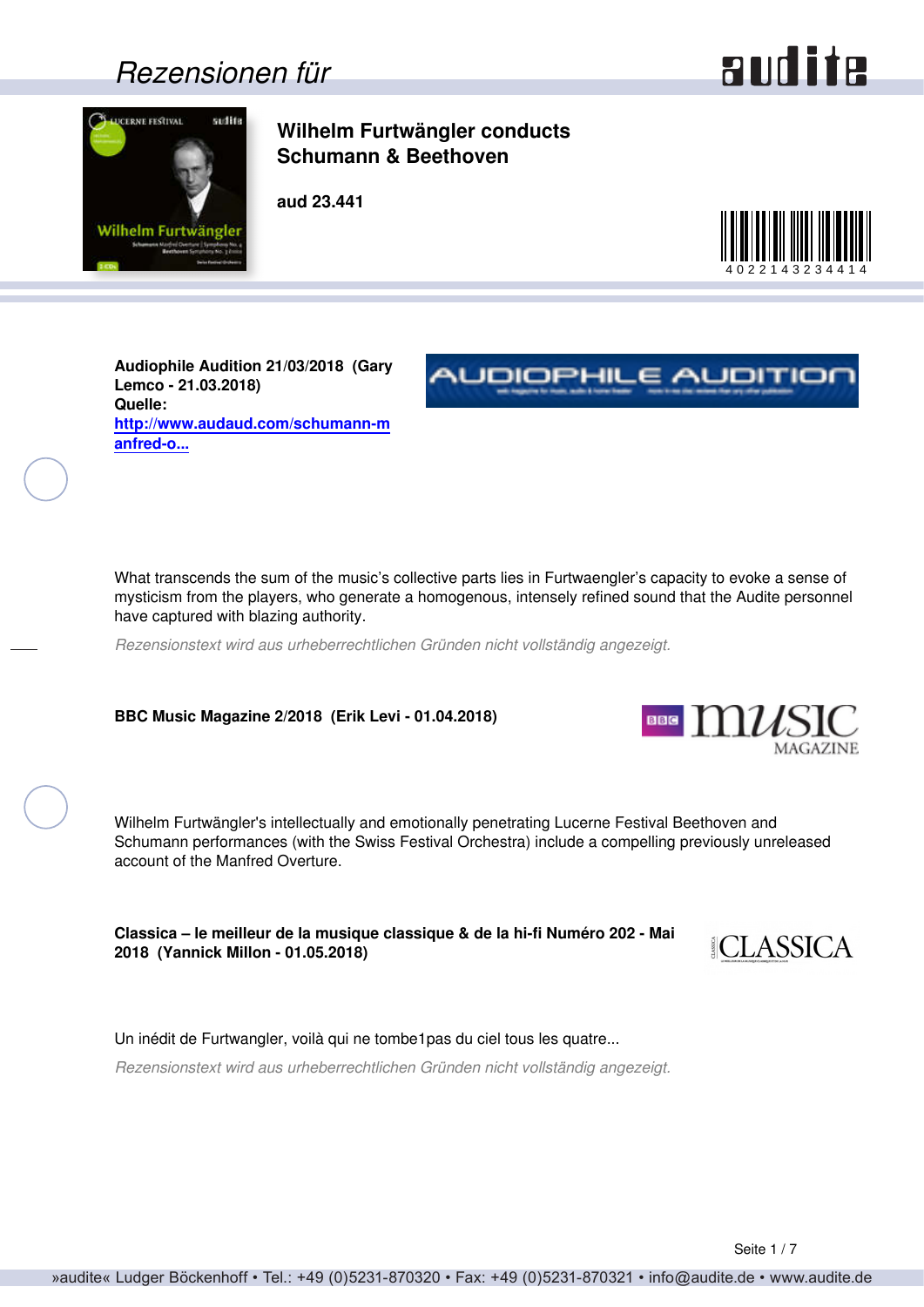### *Rezensionen für*



<span id="page-0-0"></span>

### **Wilhelm Furtwängler conducts Schumann & Beethoven**

**aud 23.441**



**NUDIOPHILE AUDITIO** 

**Audiophile Audition 21/03/2018 (Gary Lemco - 21.03.2018) Quelle: [http://www.audaud.com/schumann-m](http://www.audaud.com/schumann-manfred-overture-symphony-no-4-beethoven-symphony-no-3-swiss-festival-orchestra-wilhelm-furtwaeng) [anfred-o...](http://www.audaud.com/schumann-manfred-overture-symphony-no-4-beethoven-symphony-no-3-swiss-festival-orchestra-wilhelm-furtwaeng)**

What transcends the sum of the music's collective parts lies in Furtwaengler's capacity to evoke a sense of mysticism from the players, who generate a homogenous, intensely refined sound that the Audite personnel have captured with blazing authority.

*Rezensionstext wird aus urheberrechtlichen Gründen nicht vollständig angezeigt.*

**BBC Music Magazine 2/2018 (Erik Levi - 01.04.2018)**

Wilhelm Furtwängler's intellectually and emotionally penetrating Lucerne Festival Beethoven and Schumann performances (with the Swiss Festival Orchestra) include a compelling previously unreleased account of the Manfred Overture.

**Classica – le meilleur de la musique classique & de la hi-fi Numéro 202 - Mai 2018 (Yannick Millon - 01.05.2018)**



**BBE**  $\text{m}_{\mathcal{U}}$ 

Un inédit de Furtwangler, voilà qui ne tombe1pas du ciel tous les quatre...

*Rezensionstext wird aus urheberrechtlichen Gründen nicht vollständig angezeigt.*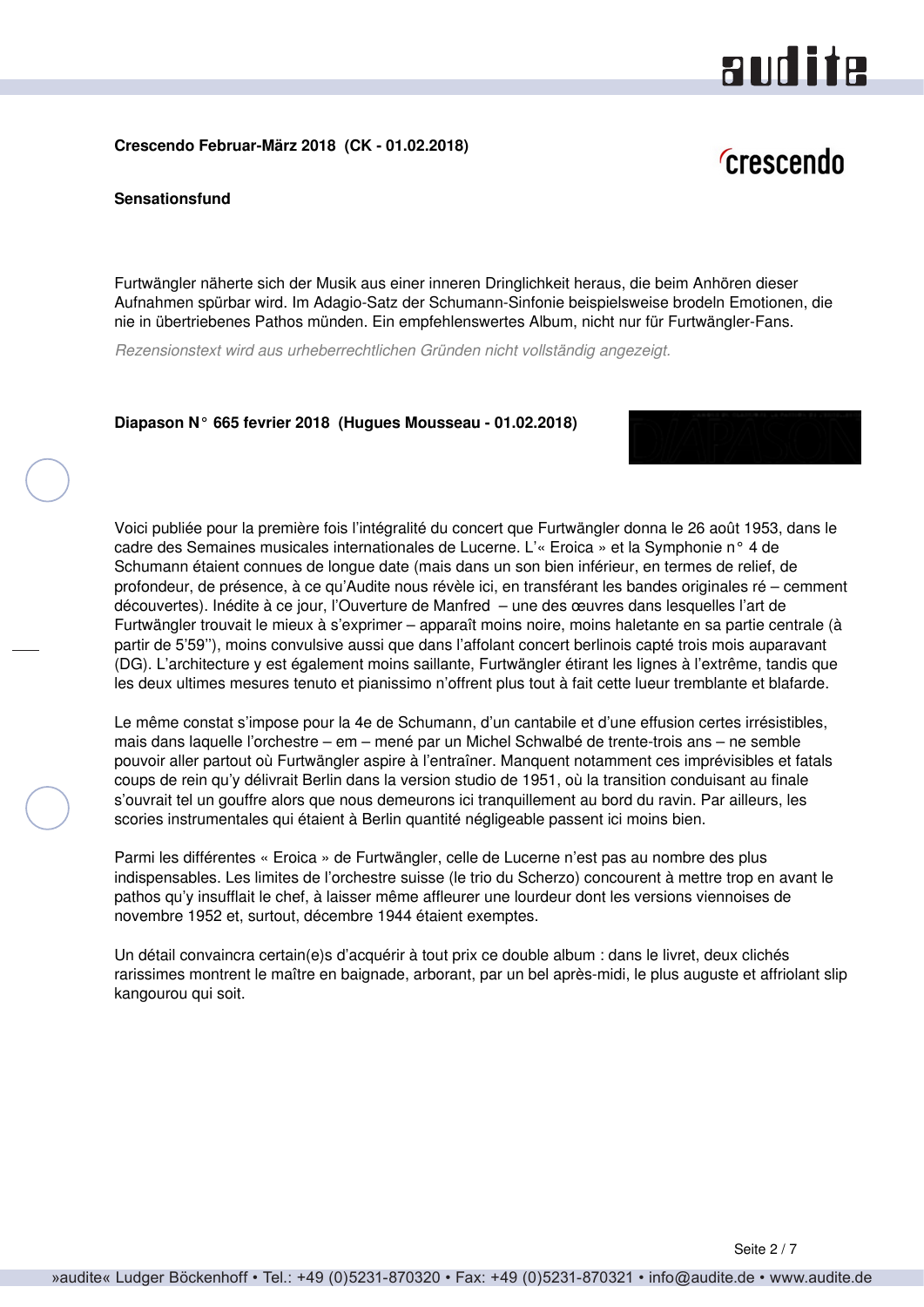# audite

#### <span id="page-1-0"></span>**Crescendo Februar-März 2018 (CK - 01.02.2018)**

## *Crescendo*

**Sensationsfund**

Furtwängler näherte sich der Musik aus einer inneren Dringlichkeit heraus, die beim Anhören dieser Aufnahmen spürbar wird. Im Adagio-Satz der Schumann-Sinfonie beispielsweise brodeln Emotionen, die nie in übertriebenes Pathos münden. Ein empfehlenswertes Album, nicht nur für Furtwängler-Fans.

*Rezensionstext wird aus urheberrechtlichen Gründen nicht vollständig angezeigt.*

#### **Diapason N° 665 fevrier 2018 (Hugues Mousseau - 01.02.2018)**



Le même constat s'impose pour la 4e de Schumann, d'un cantabile et d'une effusion certes irrésistibles, mais dans laquelle l'orchestre – em – mené par un Michel Schwalbé de trente-trois ans – ne semble pouvoir aller partout où Furtwängler aspire à l'entraîner. Manquent notamment ces imprévisibles et fatals coups de rein qu'y délivrait Berlin dans la version studio de 1951, où la transition conduisant au finale s'ouvrait tel un gouffre alors que nous demeurons ici tranquillement au bord du ravin. Par ailleurs, les scories instrumentales qui étaient à Berlin quantité négligeable passent ici moins bien.

Parmi les différentes « Eroica » de Furtwängler, celle de Lucerne n'est pas au nombre des plus indispensables. Les limites de l'orchestre suisse (le trio du Scherzo) concourent à mettre trop en avant le pathos qu'y insufflait le chef, à laisser même affleurer une lourdeur dont les versions viennoises de novembre 1952 et, surtout, décembre 1944 étaient exemptes.

Un détail convaincra certain(e)s d'acquérir à tout prix ce double album : dans le livret, deux clichés rarissimes montrent le maître en baignade, arborant, par un bel après-midi, le plus auguste et affriolant slip kangourou qui soit.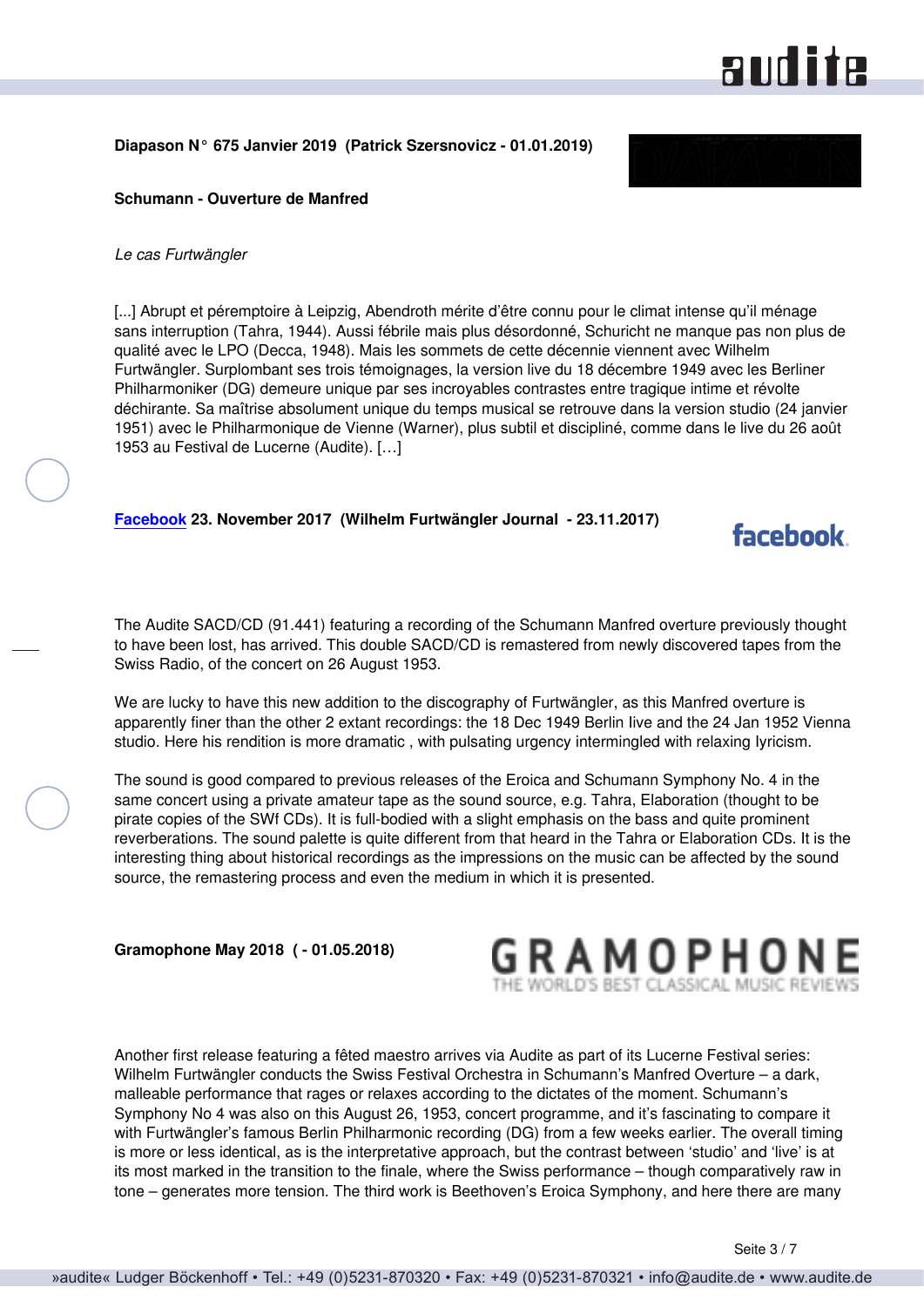## **andite**

facebook

#### <span id="page-2-0"></span>**Diapason N° 675 Janvier 2019 (Patrick Szersnovicz - 01.01.2019)**



#### **Schumann - Ouverture de Manfred**

#### *Le cas Furtwängler*

[...] Abrupt et péremptoire à Leipzig, Abendroth mérite d'être connu pour le climat intense qu'il ménage sans interruption (Tahra, 1944). Aussi fébrile mais plus désordonné, Schuricht ne manque pas non plus de qualité avec le LPO (Decca, 1948). Mais les sommets de cette décennie viennent avec Wilhelm Furtwängler. Surplombant ses trois témoignages, la version live du 18 décembre 1949 avec les Berliner Philharmoniker (DG) demeure unique par ses incroyables contrastes entre tragique intime et révolte déchirante. Sa maîtrise absolument unique du temps musical se retrouve dans la version studio (24 janvier 1951) avec le Philharmonique de Vienne (Warner), plus subtil et discipliné, comme dans le live du 26 août 1953 au Festival de Lucerne (Audite). […]

#### **[Facebook](https://www.facebook.com) 23. November 2017 (Wilhelm Furtwängler Journal - 23.11.2017)**

The Audite SACD/CD (91.441) featuring a recording of the Schumann Manfred overture previously thought to have been lost, has arrived. This double SACD/CD is remastered from newly discovered tapes from the Swiss Radio, of the concert on 26 August 1953.

We are lucky to have this new addition to the discography of Furtwängler, as this Manfred overture is apparently finer than the other 2 extant recordings: the 18 Dec 1949 Berlin Iive and the 24 Jan 1952 Vienna studio. Here his rendition is more dramatic , with pulsating urgency intermingled with relaxing Iyricism.

The sound is good compared to previous releases of the Eroica and Schumann Symphony No. 4 in the same concert using a private amateur tape as the sound source, e.g. Tahra, Elaboration (thought to be pirate copies of the SWf CDs). It is full-bodied with a slight emphasis on the bass and quite prominent reverberations. The sound palette is quite different from that heard in the Tahra or Elaboration CDs. It is the interesting thing about historical recordings as the impressions on the music can be affected by the sound source, the remastering process and even the medium in which it is presented.

**Gramophone May 2018 ( - 01.05.2018)**



Another first release featuring a fêted maestro arrives via Audite as part of its Lucerne Festival series: Wilhelm Furtwängler conducts the Swiss Festival Orchestra in Schumann's Manfred Overture – a dark, malleable performance that rages or relaxes according to the dictates of the moment. Schumann's Symphony No 4 was also on this August 26, 1953, concert programme, and it's fascinating to compare it with Furtwängler's famous Berlin Philharmonic recording (DG) from a few weeks earlier. The overall timing is more or less identical, as is the interpretative approach, but the contrast between 'studio' and 'live' is at its most marked in the transition to the finale, where the Swiss performance – though comparatively raw in tone – generates more tension. The third work is Beethoven's Eroica Symphony, and here there are many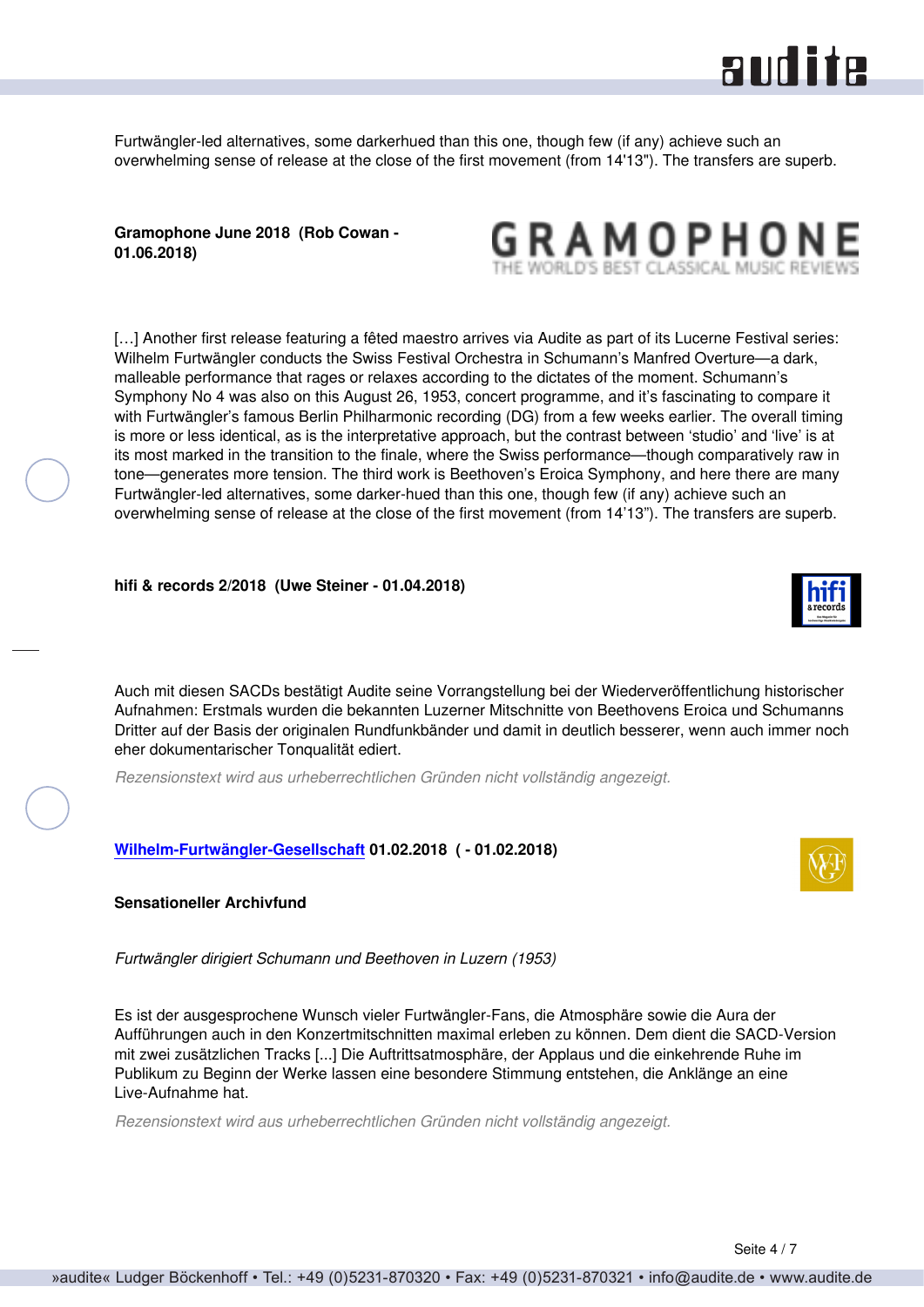

<span id="page-3-0"></span>Furtwängler-led alternatives, some darkerhued than this one, though few (if any) achieve such an overwhelming sense of release at the close of the first movement (from 14'13"). The transfers are superb.

**Gramophone June 2018 (Rob Cowan - 01.06.2018)**



[...] Another first release featuring a fêted maestro arrives via Audite as part of its Lucerne Festival series: Wilhelm Furtwängler conducts the Swiss Festival Orchestra in Schumann's Manfred Overture—a dark, malleable performance that rages or relaxes according to the dictates of the moment. Schumann's Symphony No 4 was also on this August 26, 1953, concert programme, and it's fascinating to compare it with Furtwängler's famous Berlin Philharmonic recording (DG) from a few weeks earlier. The overall timing is more or less identical, as is the interpretative approach, but the contrast between 'studio' and 'live' is at its most marked in the transition to the finale, where the Swiss performance—though comparatively raw in tone—generates more tension. The third work is Beethoven's Eroica Symphony, and here there are many Furtwängler-led alternatives, some darker-hued than this one, though few (if any) achieve such an overwhelming sense of release at the close of the first movement (from 14'13"). The transfers are superb.

#### **hifi & records 2/2018 (Uwe Steiner - 01.04.2018)**



Auch mit diesen SACDs bestätigt Audite seine Vorrangstellung bei der Wiederveröffentlichung historischer Aufnahmen: Erstmals wurden die bekannten Luzerner Mitschnitte von Beethovens Eroica und Schumanns Dritter auf der Basis der originalen Rundfunkbänder und damit in deutlich besserer, wenn auch immer noch eher dokumentarischer Tonqualität ediert.

*Rezensionstext wird aus urheberrechtlichen Gründen nicht vollständig angezeigt.*

#### **[Wilhelm-Furtwängler-Gesellschaft](http://www.furtwaengler-gesellschaft.de) 01.02.2018 ( - 01.02.2018)**



*Furtwängler dirigiert Schumann und Beethoven in Luzern (1953)*

Es ist der ausgesprochene Wunsch vieler Furtwängler-Fans, die Atmosphäre sowie die Aura der Aufführungen auch in den Konzertmitschnitten maximal erleben zu können. Dem dient die SACD-Version mit zwei zusätzlichen Tracks [...] Die Auftrittsatmosphäre, der Applaus und die einkehrende Ruhe im Publikum zu Beginn der Werke lassen eine besondere Stimmung entstehen, die Anklänge an eine Live-Aufnahme hat.

*Rezensionstext wird aus urheberrechtlichen Gründen nicht vollständig angezeigt.*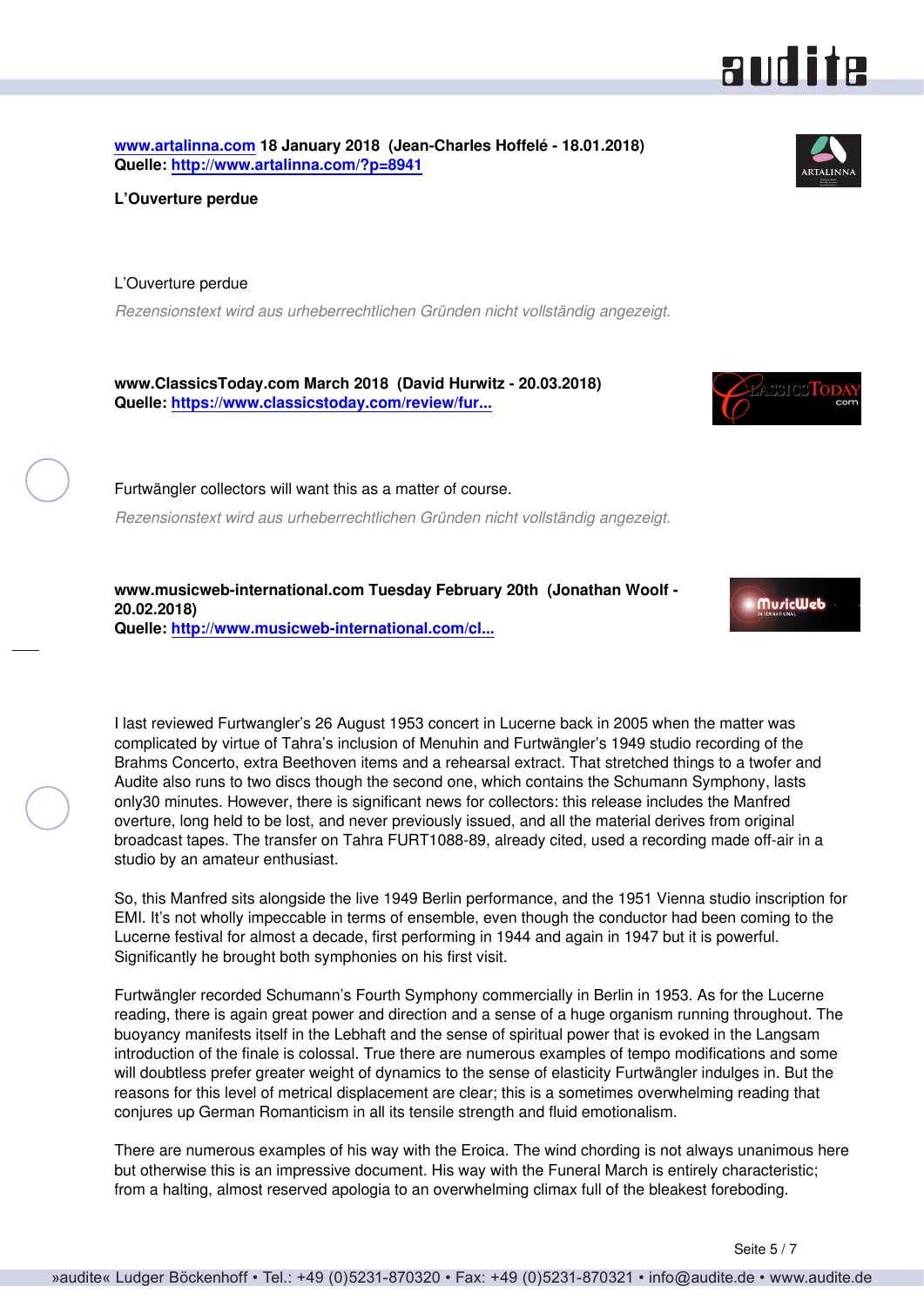<span id="page-4-0"></span>**[www.artalinna.com](http://www.artalinna.com) 18 January 2018 (Jean-Charles Hoffelé - 18.01.2018) Quelle:<http://www.artalinna.com/?p=8941>**

**L'Ouverture perdue**

L'Ouverture perdue

*Rezensionstext wird aus urheberrechtlichen Gründen nicht vollständig angezeigt.*

**www.ClassicsToday.com March 2018 (David Hurwitz - 20.03.2018) Quelle: [https://www.classicstoday.com/review/fur...](https://www.classicstoday.com/review/furtwanglers-newly-discovered-manfred-overture/)**

Furtwängler collectors will want this as a matter of course.

*Rezensionstext wird aus urheberrechtlichen Gründen nicht vollständig angezeigt.*

**www.musicweb-international.com Tuesday February 20th (Jonathan Woolf - 20.02.2018) Quelle: [http://www.musicweb-international.com/cl...](http://www.musicweb-international.com/classrev/2018/Feb/Furtwangler_Lucerne_23441.htm)**

I last reviewed Furtwangler's 26 August 1953 concert in Lucerne back in 2005 when the matter was complicated by virtue of Tahra's inclusion of Menuhin and Furtwängler's 1949 studio recording of the Brahms Concerto, extra Beethoven items and a rehearsal extract. That stretched things to a twofer and Audite also runs to two discs though the second one, which contains the Schumann Symphony, lasts only30 minutes. However, there is significant news for collectors: this release includes the Manfred overture, long held to be lost, and never previously issued, and all the material derives from original broadcast tapes. The transfer on Tahra FURT1088-89, already cited, used a recording made off-air in a studio by an amateur enthusiast.

So, this Manfred sits alongside the live 1949 Berlin performance, and the 1951 Vienna studio inscription for EMI. It's not wholly impeccable in terms of ensemble, even though the conductor had been coming to the Lucerne festival for almost a decade, first performing in 1944 and again in 1947 but it is powerful. Significantly he brought both symphonies on his first visit.

Furtwängler recorded Schumann's Fourth Symphony commercially in Berlin in 1953. As for the Lucerne reading, there is again great power and direction and a sense of a huge organism running throughout. The buoyancy manifests itself in the Lebhaft and the sense of spiritual power that is evoked in the Langsam introduction of the finale is colossal. True there are numerous examples of tempo modifications and some will doubtless prefer greater weight of dynamics to the sense of elasticity Furtwängler indulges in. But the reasons for this level of metrical displacement are clear; this is a sometimes overwhelming reading that conjures up German Romanticism in all its tensile strength and fluid emotionalism.

There are numerous examples of his way with the Eroica. The wind chording is not always unanimous here but otherwise this is an impressive document. His way with the Funeral March is entirely characteristic; from a halting, almost reserved apologia to an overwhelming climax full of the bleakest foreboding.





 $\wedge$ ssres $\text{To}$ 



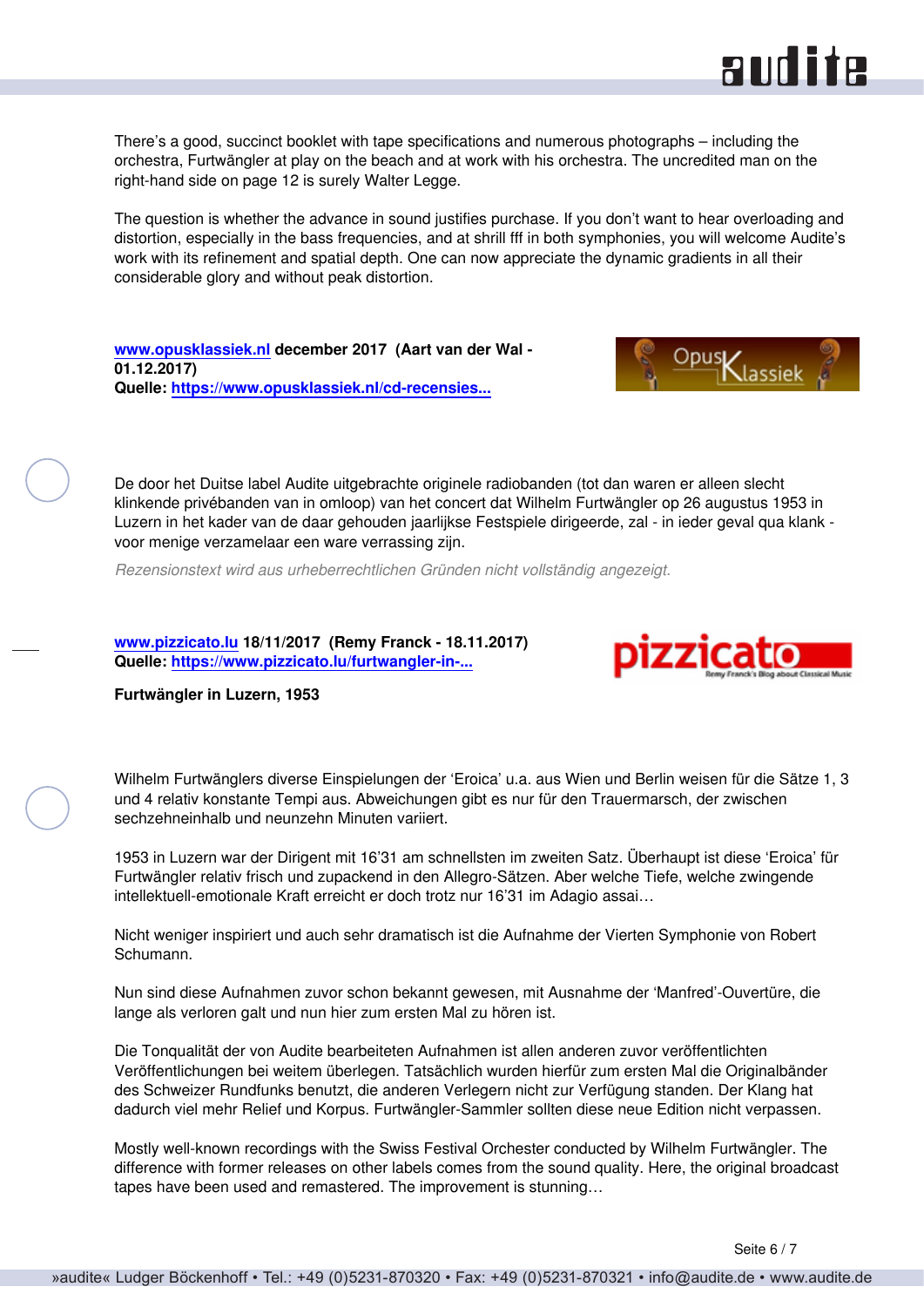<span id="page-5-0"></span>There's a good, succinct booklet with tape specifications and numerous photographs – including the orchestra, Furtwängler at play on the beach and at work with his orchestra. The uncredited man on the right-hand side on page 12 is surely Walter Legge.

The question is whether the advance in sound justifies purchase. If you don't want to hear overloading and distortion, especially in the bass frequencies, and at shrill fff in both symphonies, you will welcome Audite's work with its refinement and spatial depth. One can now appreciate the dynamic gradients in all their considerable glory and without peak distortion.

**[www.opusklassiek.nl](http://www.opusklassiek.nl) december 2017 (Aart van der Wal - 01.12.2017) Quelle: [https://www.opusklassiek.nl/cd-recensies...](https://www.opusklassiek.nl/cd-recensies/cd-aw/schumann55.htm)**



**audite** 

De door het Duitse label Audite uitgebrachte originele radiobanden (tot dan waren er alleen slecht klinkende privébanden van in omloop) van het concert dat Wilhelm Furtwängler op 26 augustus 1953 in Luzern in het kader van de daar gehouden jaarlijkse Festspiele dirigeerde, zal - in ieder geval qua klank voor menige verzamelaar een ware verrassing zijn.

*Rezensionstext wird aus urheberrechtlichen Gründen nicht vollständig angezeigt.*

**[www.pizzicato.lu](http://www.pizzicato.lu) 18/11/2017 (Remy Franck - 18.11.2017) Quelle: [https://www.pizzicato.lu/furtwangler-in-...](https://www.pizzicato.lu/furtwangler-in-luzern-1953/)**



**Furtwängler in Luzern, 1953**

Wilhelm Furtwänglers diverse Einspielungen der 'Eroica' u.a. aus Wien und Berlin weisen für die Sätze 1, 3 und 4 relativ konstante Tempi aus. Abweichungen gibt es nur für den Trauermarsch, der zwischen sechzehneinhalb und neunzehn Minuten variiert.

1953 in Luzern war der Dirigent mit 16'31 am schnellsten im zweiten Satz. Überhaupt ist diese 'Eroica' für Furtwängler relativ frisch und zupackend in den Allegro-Sätzen. Aber welche Tiefe, welche zwingende intellektuell-emotionale Kraft erreicht er doch trotz nur 16'31 im Adagio assai…

Nicht weniger inspiriert und auch sehr dramatisch ist die Aufnahme der Vierten Symphonie von Robert Schumann.

Nun sind diese Aufnahmen zuvor schon bekannt gewesen, mit Ausnahme der 'Manfred'-Ouvertüre, die lange als verloren galt und nun hier zum ersten Mal zu hören ist.

Die Tonqualität der von Audite bearbeiteten Aufnahmen ist allen anderen zuvor veröffentlichten Veröffentlichungen bei weitem überlegen. Tatsächlich wurden hierfür zum ersten Mal die Originalbänder des Schweizer Rundfunks benutzt, die anderen Verlegern nicht zur Verfügung standen. Der Klang hat dadurch viel mehr Relief und Korpus. Furtwängler-Sammler sollten diese neue Edition nicht verpassen.

Mostly well-known recordings with the Swiss Festival Orchester conducted by Wilhelm Furtwängler. The difference with former releases on other labels comes from the sound quality. Here, the original broadcast tapes have been used and remastered. The improvement is stunning…